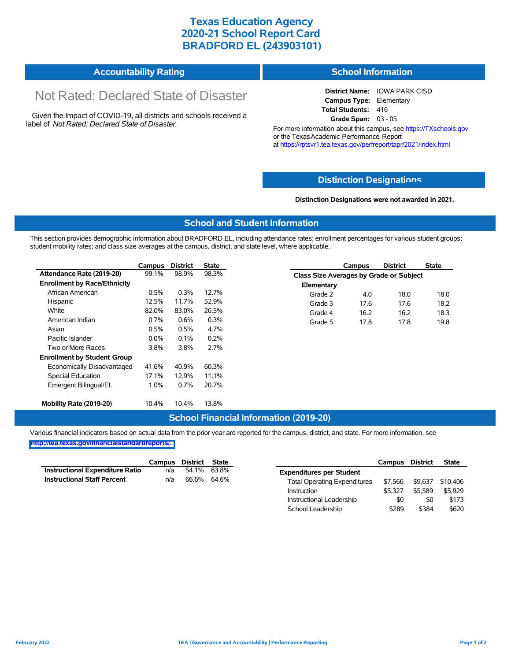# **Texas Education Agency 2020-21 School Report Card BRADFORD EL (243903101)**

| <b>Accountability Rating</b> | <b>School Information</b> |
|------------------------------|---------------------------|
|------------------------------|---------------------------|

# Not Rated: Declared State of Disaster

Given the Impact of COVID-19, all districts and schools received a label of *Not Rated: Declared State of Disaster.*

**District Name:** IOWA PARK CISD **Campus Type:** Elementary **Total Students:** 416 **Grade Span:** 03 - 05

For more information about this campus, see https://TXschools.gov or the Texas Academic Performance Report at https://rptsvr1.tea.texas.gov/perfreport/tapr/2021/index.html

## **Distinction Designat[ions](https://TXschools.gov)**

**Distinction Designations were not awarded in 2021.**

School Leadership  $$289$  \$384 \$620

#### **School and Student Information**

This section provides demographic information about BRADFORD EL, including attendance rates; enrollment percentages for various student groups; student mobility rates; and class size averages at the campus, district, and state level, where applicable.

|                                     | Campus  | <b>District</b> | <b>State</b> | <b>District</b><br><b>State</b><br><b>Campus</b> |
|-------------------------------------|---------|-----------------|--------------|--------------------------------------------------|
| Attendance Rate (2019-20)           | 99.1%   | 98.9%           | 98.3%        | Class Size Averages by Grade or Subject          |
| <b>Enrollment by Race/Ethnicity</b> |         |                 |              | Elementary                                       |
| African American                    | 0.5%    | 0.3%            | 12.7%        | 18.0<br>4.0<br>18.0<br>Grade 2                   |
| Hispanic                            | 12.5%   | 11.7%           | 52.9%        | 18.2<br>Grade 3<br>17.6<br>17.6                  |
| White                               | 82.0%   | 83.0%           | 26.5%        | 16.2<br>16.2<br>18.3<br>Grade 4                  |
| American Indian                     | 0.7%    | 0.6%            | 0.3%         | 19.8<br>17.8<br>Grade 5<br>17.8                  |
| Asian                               | 0.5%    | 0.5%            | 4.7%         |                                                  |
| Pacific Islander                    | $0.0\%$ | 0.1%            | 0.2%         |                                                  |
| Two or More Races                   | 3.8%    | 3.8%            | 2.7%         |                                                  |
| <b>Enrollment by Student Group</b>  |         |                 |              |                                                  |
| Economically Disadvantaged          | 41.6%   | 40.9%           | 60.3%        |                                                  |
| Special Education                   | 17.1%   | 12.9%           | 11.1%        |                                                  |
| Emergent Bilingual/EL               | 1.0%    | 0.7%            | 20.7%        |                                                  |
| Mobility Rate (2019-20)             | 10.4%   | 10.4%           | 13.8%        |                                                  |

## **School Financial Information (2019-20)**

Various financial indicators based on actual data from the prior year are reported for the campus, district, and state. For more information, see

**[http://tea.texas.gov/financialstandardreports/.](http://tea.texas.gov/financialstandardreports/)**

|                                        | Campus | District    | State       |                                     | Campus  | <b>District</b> | <b>State</b> |
|----------------------------------------|--------|-------------|-------------|-------------------------------------|---------|-----------------|--------------|
| <b>Instructional Expenditure Ratio</b> | n/a    |             | 54.1% 63.8% | <b>Expenditures per Student</b>     |         |                 |              |
| <b>Instructional Staff Percent</b>     | n/a    | 66.6% 64.6% |             | <b>Total Operating Expenditures</b> | \$7.566 | \$9.637         | \$10,406     |
|                                        |        |             |             | Instruction                         | \$5.327 | \$5.589         | \$5,929      |
|                                        |        |             |             | Instructional Leadership            | \$0     | \$0             | \$173        |